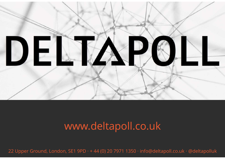

### www.deltapoll.co.uk

22 Upper Ground, London, SE1 9PD · + 44 (0) 20 7971 1350 · info@deltapoll.co.uk · @deltapolluk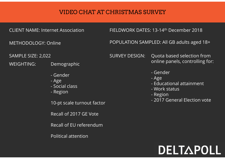# VIDEO CHAT AT CHRISTMAS SURVEY<br>CLIENT NAME: Internet Association FIELDWORK DATES: 13-14<sup>th</sup> December 2018<br>METHODOLOGY: Online POPULATION SAMPLED: All GB adults aged 18+ VIDEO CHAT AT CHRISTMAS SURVEY - Gender

SAMPLE SIZE: 2,022

WEIGHTING: Demographic

- 
- 
- 
- 

10-pt scale turnout factor

Recall of 2017 GE Vote

Recall of EU referendum

Political attention

METHODOLOGY: Online POPULATION SAMPLED: All GB adults aged 18+

France Contributed Marine<br>
The Association<br>
FIELDWORK DA<br>
Inline<br>
POPULATION S<br>
SURVEY DESIG<br>
Demographic<br>
- Gender<br>
- Age<br>
- Social class<br>
- Region The Material Control Control Control Control Control Control Control Control Control Control Control Control Control Control Control Control Control Control Control Control Control Control Control Control Control Control C The Association<br>
THELDWORK DANNING<br>
Thine POPULATION<br>
SURVEY DESIG<br>
Demographic<br>
- Gender<br>
- Age<br>
- Social class<br>
- Region<br>
10-pt scale turnout factor SURVEY DESIGN: Quota based selection from **RVEY**<br>13-14<sup>th</sup> December 2018<br>PLED: All GB adults aged 18+<br>Quota based selection from<br>online panels, controlling for:<br>- Gender<br>- Age RVEY<br>13-14<sup>th</sup> December 2018<br>'LED: All GB adults aged 18+<br>Quota based selection from<br>online panels, controlling for:<br>- Gender<br>- Age<br>- Educational attainment<br>- Work status **RVEY**<br>13-14<sup>th</sup> December 2018<br>PLED: All GB adults aged 18+<br>Quota based selection from<br>online panels, controlling for:<br>- Gender<br>- Age<br>- Educational attainment<br>- Work status 13-14<sup>th</sup> December 2018<br>13-14<sup>th</sup> December 2018<br>PLED: All GB adults aged 18+<br>Quota based selection from<br>online panels, controlling for:<br>- Gender<br>- Age<br>- Educational attainment<br>- Work status<br>- Region<br>- 2017 General Election 13-14<sup>th</sup> December 2018<br>PLED: All GB adults aged 18+<br>Quota based selection from<br>online panels, controlling for:<br>- Gender<br>- Age<br>- Educational attainment<br>- Work status<br>- Region<br>- 2017 General Election vote 13-14<sup>th</sup> December 2018<br>'LED: All GB adults aged 18+<br>Quota based selection from<br>online panels, controlling for:<br>- Gender<br>- Age<br>- Educational attainment<br>- Work status<br>- Region<br>- 2017 General Election vote PLED: All GB adults aged 18+<br>Quota based selection from<br>online panels, controlling for:<br>- Gender<br>- Age<br>- Educational attainment<br>- Work status<br>- Region<br>- 2017 General Election vote

- 
- 
- 
- 
- 
- 

## DELTAPOLL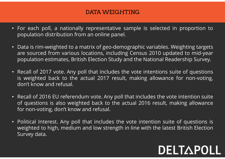#### DATA WEIGHTING

- **DATA WEIGHTING**<br>• For each poll, a nationally representative sample is selected in proportion to<br>• Data is rim-weighted to a matrix of geo-demographic variables. Weighting targets **DATA WEIGHTING**<br>For each poll, a nationally representative sample is selected in proporti<br>population distribution from an online panel.<br>Data is rim-weighted to a matrix of geo-demographic variables. Weighting tare sourced
- For each poll, a nationally representative sample is selected in proportion to population distribution from an online panel.<br>• Data is rim-weighted to a matrix of geo-demographic variables. Weighting targets are sourced **Example 19 Example for each poll, a nationally representative sample is selected in proportion to population distribution from an online panel.**<br>Data is rim-weighted to a matrix of geo-demographic variables. Weighting tar **DATA WEIGHTING**<br>For each poll, a nationally representative sample is selected in proportion to<br>population distribution from an online panel.<br>Data is rim-weighted to a matrix of geo-demographic variables. Weighting targets
- For each poll, a nationally representative sample is selected in proportion to population distribution from an online panel.<br>• Data is rim-weighted to a matrix of geo-demographic variables. Weighting targets are sourced DATA VVERSETTING<br>For each poll, a nationally representative sample is selected in proportion to<br>population distribution from an online panel.<br>Data is rim-weighted to a matrix of geo-demographic variables. Weighting targets For each poll, a nationally representative sample<br>population distribution from an online panel.<br>Data is rim-weighted to a matrix of geo-demographia<br>are sourced from various locations, including Censt<br>population estimates,
- Data is rim-weighted to a matrix of geo-demographic variables. Weighting targets<br>• Data is rim-weighted to a matrix of geo-demographic variables. Weighting targets<br>• are sourced from various locations, including Census 2 Figure 1.1 The solution of the amatrix of geo-demographic variables. Weighting targets<br>are sourced from various locations, including Census 2010 updated to mid-year<br>population estimates, British Election Study and the Nati Data is rim-weighted to a matrix of geo-demographic variables. Wei<br>are sourced from various locations, including Census 2010 update<br>population estimates, British Election Study and the National Reade<br>Recall of 2017 vote. A • Political Interest. Any poll that includes the vote intentions suite of questions is weighted back to the actual 2017 result, making allowance for non-voting, don't know and refusal.<br>• Recall of 2016 EU referendum vote. Recall of 2017 vote. Any poll that includes the vote intentions suite of questions<br>is weighted back to the actual 2017 result, making allowance for non-voting,<br>don't know and refusal.<br>Recall of 2016 EU referendum vote. An Recall of 2017 vote. Any poll that includes to the actual 2017 resu don't know and refusal.<br>Recall of 2016 EU referendum vote. Any pol<br>of questions is also weighted back to the<br>for non-voting, don't know and refusal.<br>Polit
-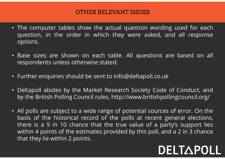#### OTHER RELEVANT ISSUES

- The computer tables show the actual question wording used for each<br>question, in the order in which they were asked, and all response<br>options. **STATE CONSERVANT SSUES**<br>The computer tables show the actual question wording used for each<br>question, in the order in which they were asked, and all response<br>pptions. options. • The computer tables show the actual question wording used for each question, in the order in which they were asked, and all response options.<br>• Base sizes are shown on each table. All questions are based on all responden **COTHER RELEVANT ISSUES**<br>The computer tables show the actual question wording used<br>question, in the order in which they were asked, and all<br>options.<br>Base sizes are shown on each table. All questions are bas<br>respondents unl • The computer tables show the actual question wording used for each question, in the order in which they were asked, and all response options.<br>• Base sizes are shown on each table. All questions are based on all responden • The computer tables show the actual question wording used for each question, in the order in which they were asked, and all response options.<br>
• Base sizes are shown on each table. All questions are based on all responde question, in the order in which they were asked, and all response<br>options.<br>Base sizes are shown on each table. All questions are based on all<br>respondents unless otherwise stated.<br>Further enquiries should be sent to info@de
- 
- 
- 
- Base sizes are shown on each table. All questions are based on all<br>
 Further enquiries should be sent to info@deltapoll.co.uk<br>
 Deltapoll abides by the Market Research Society Code of Conduct, and<br>
by the British Polli Base sizes are shown on each table. All questions are based on all<br>respondents unless otherwise stated.<br>Further enquiries should be sent to info@deltapoll.co.uk<br>Deltapoll abides by the Market Research Society Code of Condu respondents unless otherwise stated.<br>Further enquiries should be sent to info@deltapoll.co.uk<br>Deltapoll abides by the Market Research Society Code of Conduct, and<br>by the British Polling Council rules, http://www.britishpol Further enquiries should be sent to info@deltapoll.co.uk<br>
Deltapoll abides by the Market Research Society Code of Conduct, and<br>
by the British Polling Council rules, http://www.britishpollingcouncil.org/<br>
All polls are su Further enquiries should be sent to info@deltapoll.co<br>Deltapoll abides by the Market Research Society Coo<br>by the British Polling Council rules, http://www.british<br>All polls are subject to a wide range of potential sour<br>bas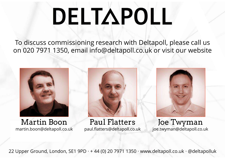# DELTAPOLL

To discuss commissioning research with Deltapoll, please call us on 020 7971 1350, email info@deltapoll.co.uk or visit our website



Martin Boon martin.boon@deltapoll.co.uk



Paul Flatters paul.flatters@deltapoll.co.uk



Joe Twyman joe.twyman@deltapoll.co.uk

22 Upper Ground, London, SE1 9PD · + 44 (0) 20 7971 1350 · www.deltapoll.co.uk · @deltapolluk